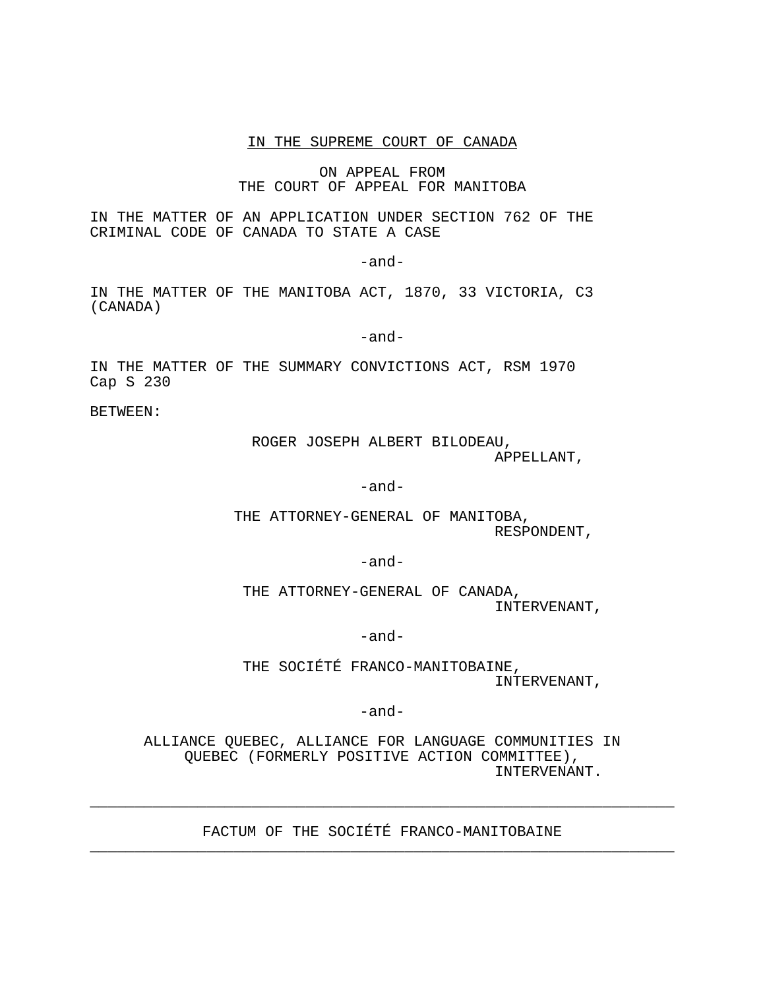### IN THE SUPREME COURT OF CANADA

ON APPEAL FROM THE COURT OF APPEAL FOR MANITOBA

IN THE MATTER OF AN APPLICATION UNDER SECTION 762 OF THE CRIMINAL CODE OF CANADA TO STATE A CASE

-and-

IN THE MATTER OF THE MANITOBA ACT, 1870, 33 VICTORIA, C3 (CANADA)

-and-

IN THE MATTER OF THE SUMMARY CONVICTIONS ACT, RSM 1970 Cap S 230

BETWEEN:

ROGER JOSEPH ALBERT BILODEAU, APPELLANT,

-and-

THE ATTORNEY-GENERAL OF MANITOBA, RESPONDENT,

-and-

THE ATTORNEY-GENERAL OF CANADA, INTERVENANT,

-and-

THE SOCIÉTÉ FRANCO-MANITOBAINE, INTERVENANT,

-and-

ALLIANCE QUEBEC, ALLIANCE FOR LANGUAGE COMMUNITIES IN QUEBEC (FORMERLY POSITIVE ACTION COMMITTEE), INTERVENANT.

FACTUM OF THE SOCIÉTÉ FRANCO-MANITOBAINE

\_\_\_\_\_\_\_\_\_\_\_\_\_\_\_\_\_\_\_\_\_\_\_\_\_\_\_\_\_\_\_\_\_\_\_\_\_\_\_\_\_\_\_\_\_\_\_\_\_\_\_\_\_\_\_\_\_\_\_\_\_\_\_\_\_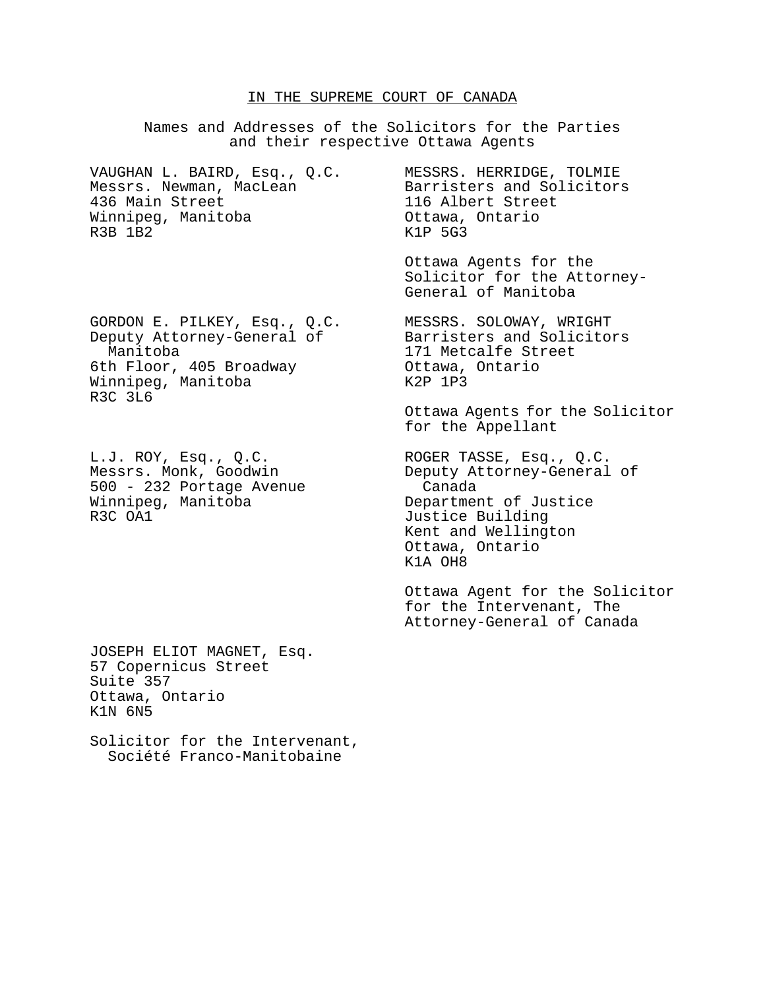#### IN THE SUPREME COURT OF CANADA

Names and Addresses of the Solicitors for the Parties and their respective Ottawa Agents VAUGHAN L. BAIRD, Esq., Q.C. MESSRS. HERRIDGE, TOLMIE Messrs. Newman, MacLean Barristers and Solicitors 436 Main Street 116 Albert Street Winnipeg, Manitoba **Chamana Caraccer** Ottawa, Ontario R3B 1B2 K1P 5G3 Ottawa Agents for the Solicitor for the Attorney-General of Manitoba GORDON E. PILKEY, Esq., Q.C. MESSRS. SOLOWAY, WRIGHT<br>Deputy Attorney-General of Barristers and Solicitors Deputy Attorney-General of Manitoba 171 Metcalfe Street 6th Floor, 405 Broadway **Canady Contains**, Ontario Winnipeg, Manitoba K2P 1P3 R3C 3L6 Ottawa Agents for the Solicitor for the Appellant L.J. ROY, Esq., Q.C. ROGER TASSE, Esq., Q.C. Messrs. Monk, Goodwin Deputy Attorney-General of 500 - 232 Portage Avenue Canada<br>Winnipeg, Manitoba Cepartmen Department of Justice R3C OA1 **Justice Building** Kent and Wellington Ottawa, Ontario K1A OH8 Ottawa Agent for the Solicitor for the Intervenant, The Attorney-General of Canada

JOSEPH ELIOT MAGNET, Esq. 57 Copernicus Street Suite 357 Ottawa, Ontario K1N 6N5

Solicitor for the Intervenant, Société Franco-Manitobaine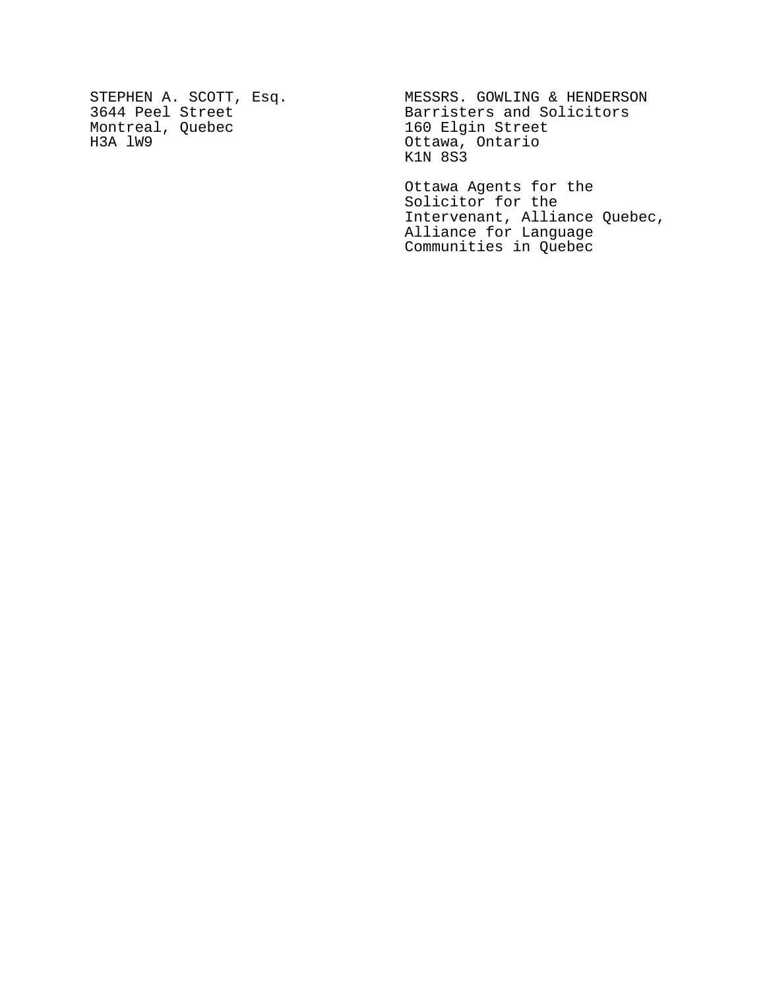Montreal, Quebec 160 Elgin Street<br>
H3A lW9 160 Ottawa, Ontario

STEPHEN A. SCOTT, Esq. MESSRS. GOWLING & HENDERSON 3644 Peel Street Barristers and Solicitors Ottawa, Ontario K1N 8S3

> Ottawa Agents for the Solicitor for the Intervenant, Alliance Quebec, Alliance for Language Communities in Quebec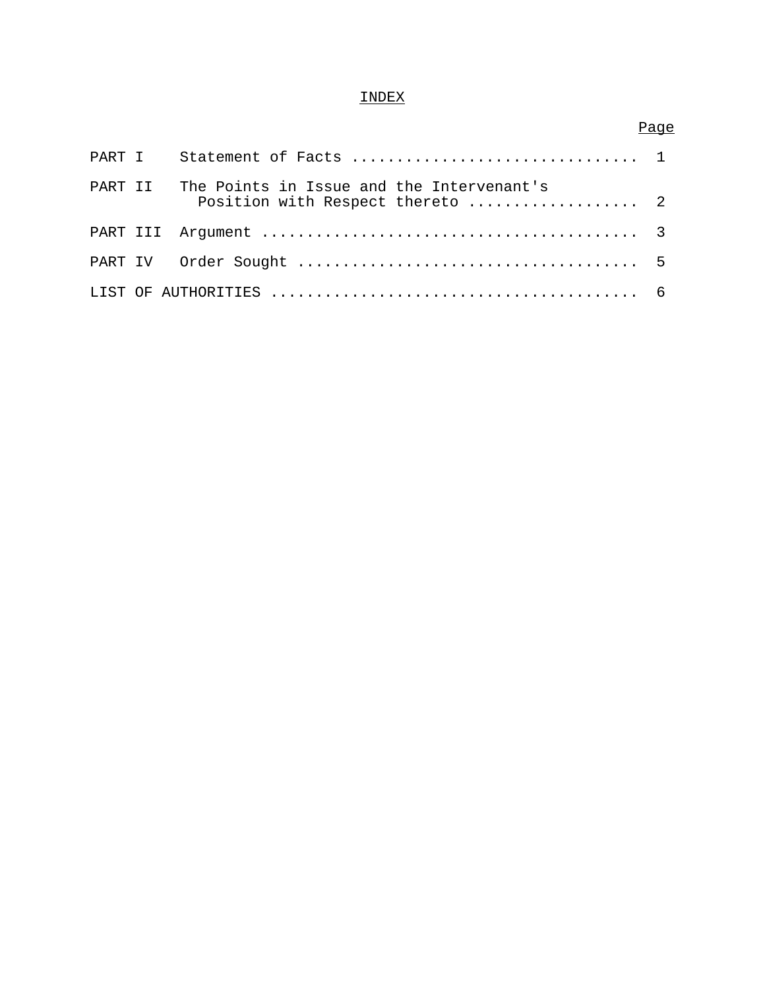# INDEX

# Page

| PART II | The Points in Issue and the Intervenant's<br>Position with Respect thereto  2 |  |
|---------|-------------------------------------------------------------------------------|--|
|         |                                                                               |  |
|         |                                                                               |  |
|         |                                                                               |  |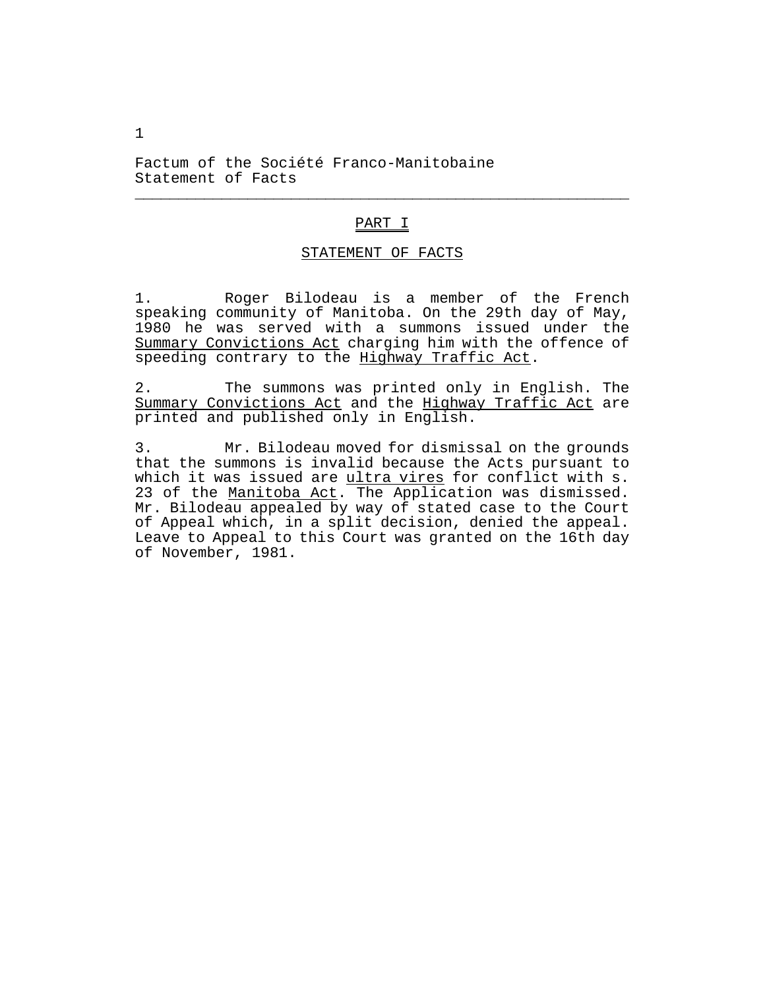Factum of the Société Franco-Manitobaine Statement of Facts

## PART I

\_\_\_\_\_\_\_\_\_\_\_\_\_\_\_\_\_\_\_\_\_\_\_\_\_\_\_\_\_\_\_\_\_\_\_\_\_\_\_\_\_\_\_\_\_\_\_\_\_\_\_\_\_\_\_\_\_

## STATEMENT OF FACTS

1. Roger Bilodeau is a member of the French speaking community of Manitoba. On the 29th day of May, 1980 he was served with a summons issued under the Summary Convictions Act charging him with the offence of speeding contrary to the Highway Traffic Act.

2. The summons was printed only in English. The Summary Convictions Act and the Highway Traffic Act are printed and published only in English.

3. Mr. Bilodeau moved for dismissal on the grounds that the summons is invalid because the Acts pursuant to which it was issued are ultra vires for conflict with s. 23 of the Manitoba Act. The Application was dismissed. Mr. Bilodeau appealed by way of stated case to the Court of Appeal which, in a split decision, denied the appeal. Leave to Appeal to this Court was granted on the 16th day of November, 1981.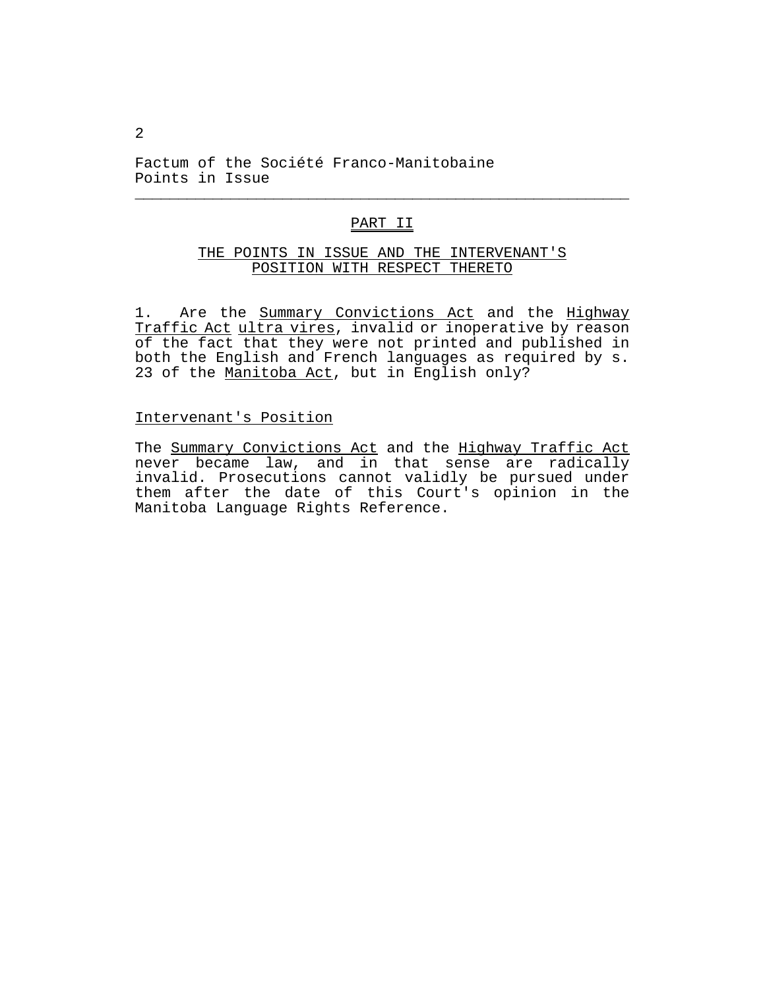Factum of the Société Franco-Manitobaine Points in Issue

## PART II

\_\_\_\_\_\_\_\_\_\_\_\_\_\_\_\_\_\_\_\_\_\_\_\_\_\_\_\_\_\_\_\_\_\_\_\_\_\_\_\_\_\_\_\_\_\_\_\_\_\_\_\_\_\_\_\_\_

## THE POINTS IN ISSUE AND THE INTERVENANT'S POSITION WITH RESPECT THERETO

1. Are the Summary Convictions Act and the Highway Traffic Act ultra vires, invalid or inoperative by reason of the fact that they were not printed and published in both the English and French languages as required by s. 23 of the Manitoba Act, but in English only?

### Intervenant's Position

The Summary Convictions Act and the Highway Traffic Act never became law, and in that sense are radically invalid. Prosecutions cannot validly be pursued under them after the date of this Court's opinion in the Manitoba Language Rights Reference.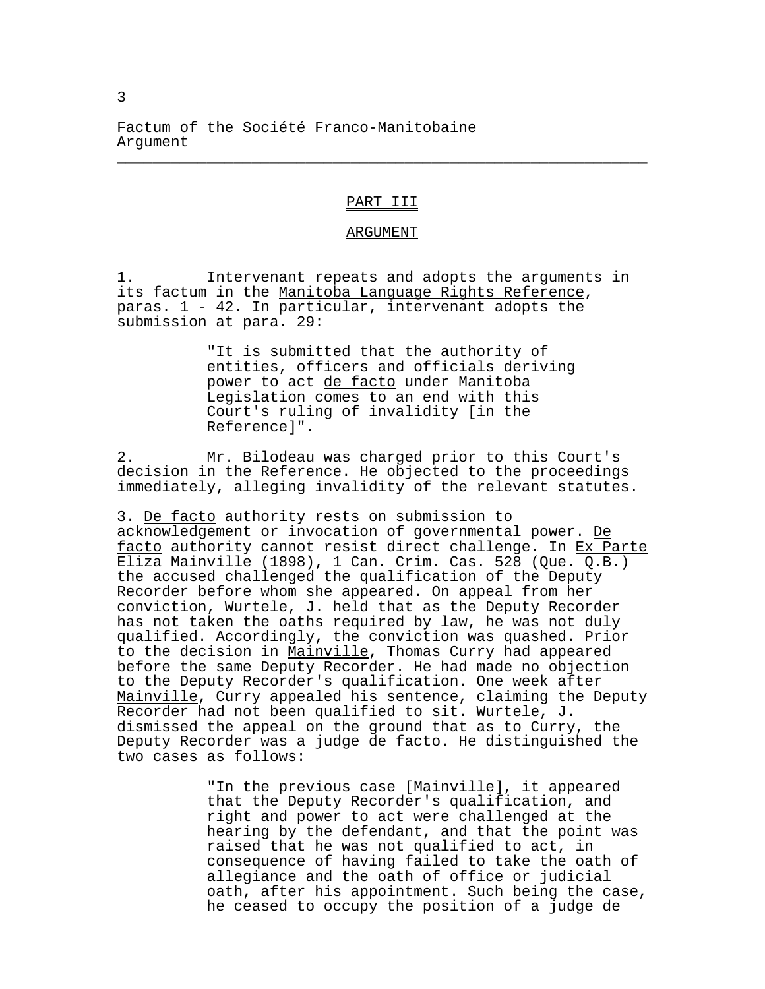Factum of the Société Franco-Manitobaine Argument

## PART III

\_\_\_\_\_\_\_\_\_\_\_\_\_\_\_\_\_\_\_\_\_\_\_\_\_\_\_\_\_\_\_\_\_\_\_\_\_\_\_\_\_\_\_\_\_\_\_\_\_\_\_\_\_\_\_\_\_\_\_

#### ARGUMENT

1. Intervenant repeats and adopts the arguments in its factum in the Manitoba Language Rights Reference, paras. 1 - 42. In particular, intervenant adopts the submission at para. 29:

> "It is submitted that the authority of entities, officers and officials deriving power to act de facto under Manitoba Legislation comes to an end with this Court's ruling of invalidity [in the Reference]".

2. Mr. Bilodeau was charged prior to this Court's decision in the Reference. He objected to the proceedings immediately, alleging invalidity of the relevant statutes.

3. De facto authority rests on submission to acknowledgement or invocation of governmental power. De facto authority cannot resist direct challenge. In Ex Parte Eliza Mainville (1898), 1 Can. Crim. Cas. 528 (Que. Q.B.) the accused challenged the qualification of the Deputy Recorder before whom she appeared. On appeal from her conviction, Wurtele, J. held that as the Deputy Recorder has not taken the oaths required by law, he was not duly qualified. Accordingly, the conviction was quashed. Prior to the decision in Mainville, Thomas Curry had appeared before the same Deputy Recorder. He had made no objection to the Deputy Recorder's qualification. One week after Mainville, Curry appealed his sentence, claiming the Deputy Recorder had not been qualified to sit. Wurtele, J. dismissed the appeal on the ground that as to Curry, the Deputy Recorder was a judge de facto. He distinguished the two cases as follows:

> "In the previous case [Mainville], it appeared that the Deputy Recorder's qualification, and right and power to act were challenged at the hearing by the defendant, and that the point was raised that he was not qualified to act, in consequence of having failed to take the oath of allegiance and the oath of office or judicial oath, after his appointment. Such being the case, he ceased to occupy the position of a judge de

3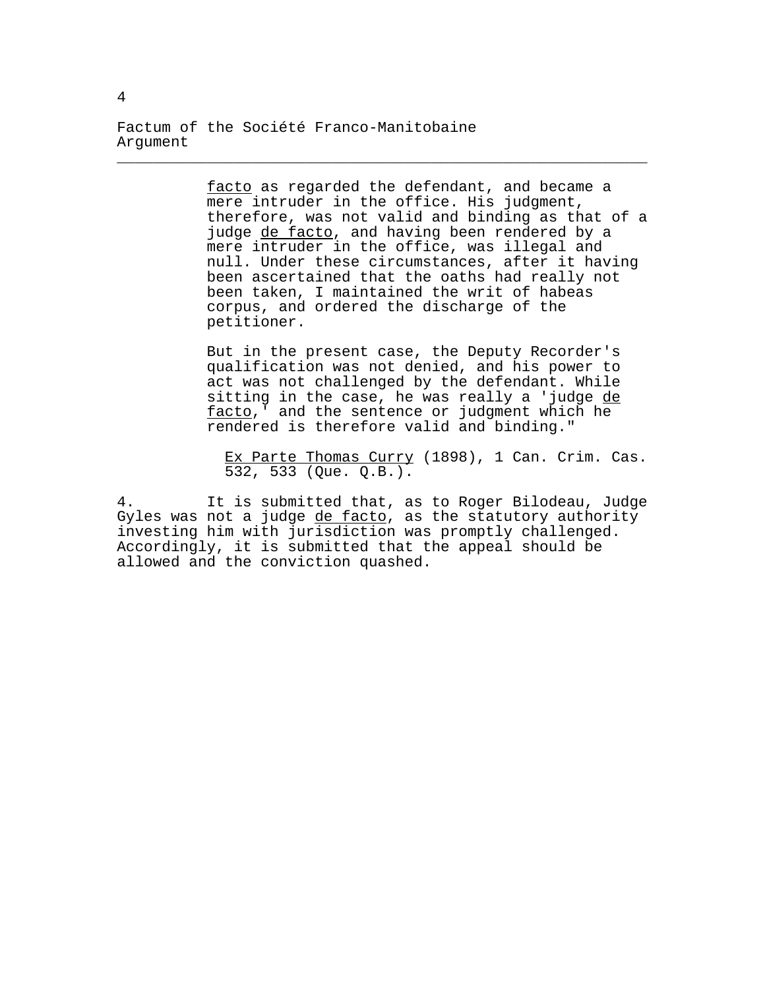Factum of the Société Franco-Manitobaine Argument

> facto as regarded the defendant, and became a mere intruder in the office. His judgment, therefore, was not valid and binding as that of a judge de facto, and having been rendered by a mere intruder in the office, was illegal and null. Under these circumstances, after it having been ascertained that the oaths had really not been taken, I maintained the writ of habeas corpus, and ordered the discharge of the petitioner.

\_\_\_\_\_\_\_\_\_\_\_\_\_\_\_\_\_\_\_\_\_\_\_\_\_\_\_\_\_\_\_\_\_\_\_\_\_\_\_\_\_\_\_\_\_\_\_\_\_\_\_\_\_\_\_\_\_\_\_

But in the present case, the Deputy Recorder's qualification was not denied, and his power to act was not challenged by the defendant. While sitting in the case, he was really a 'judge de facto,' and the sentence or judgment which he rendered is therefore valid and binding."

Ex Parte Thomas Curry (1898), 1 Can. Crim. Cas. 532, 533 (Que. Q.B.).

4. It is submitted that, as to Roger Bilodeau, Judge Gyles was not a judge de facto, as the statutory authority investing him with jurisdiction was promptly challenged. Accordingly, it is submitted that the appeal should be allowed and the conviction quashed.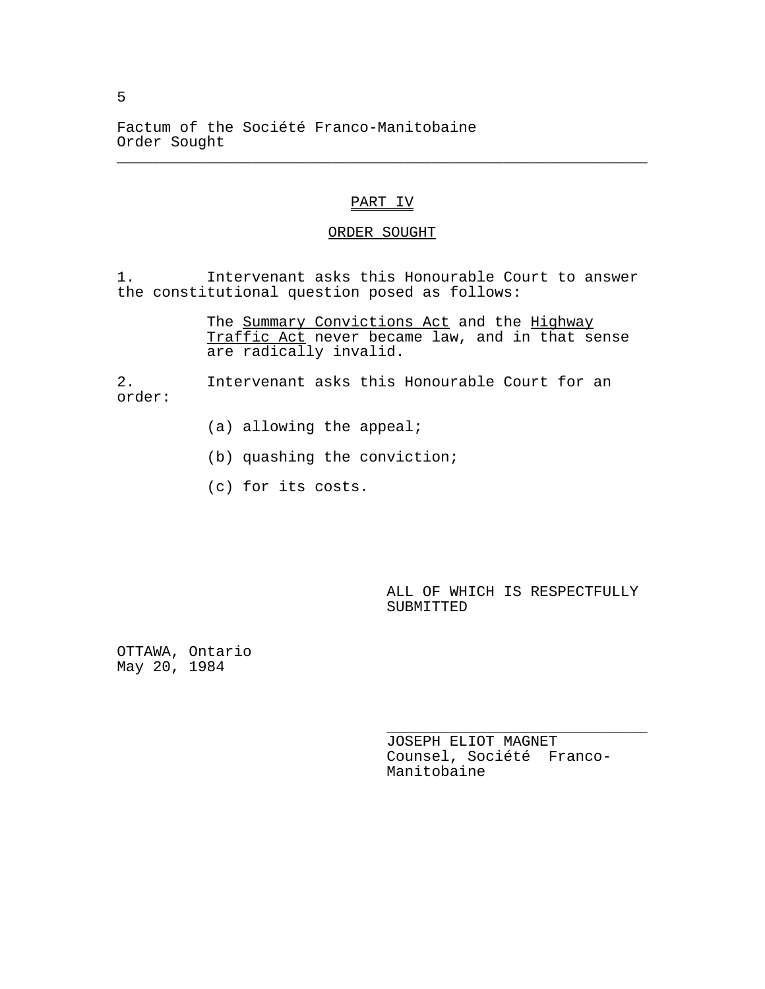Factum of the Société Franco-Manitobaine Order Sought

## PART IV

\_\_\_\_\_\_\_\_\_\_\_\_\_\_\_\_\_\_\_\_\_\_\_\_\_\_\_\_\_\_\_\_\_\_\_\_\_\_\_\_\_\_\_\_\_\_\_\_\_\_\_\_\_\_\_\_\_\_\_

### ORDER SOUGHT

1. Intervenant asks this Honourable Court to answer the constitutional question posed as follows:

> The Summary Convictions Act and the Highway Traffic Act never became law, and in that sense are radically invalid.

2. Intervenant asks this Honourable Court for an order:

- (a) allowing the appeal;
- (b) quashing the conviction;
- (c) for its costs.

ALL OF WHICH IS RESPECTFULLY SUBMITTED

OTTAWA, Ontario May 20, 1984

> JOSEPH ELIOT MAGNET Counsel, Société Franco-Manitobaine

\_\_\_\_\_\_\_\_\_\_\_\_\_\_\_\_\_\_\_\_\_\_\_\_\_\_\_\_\_

5